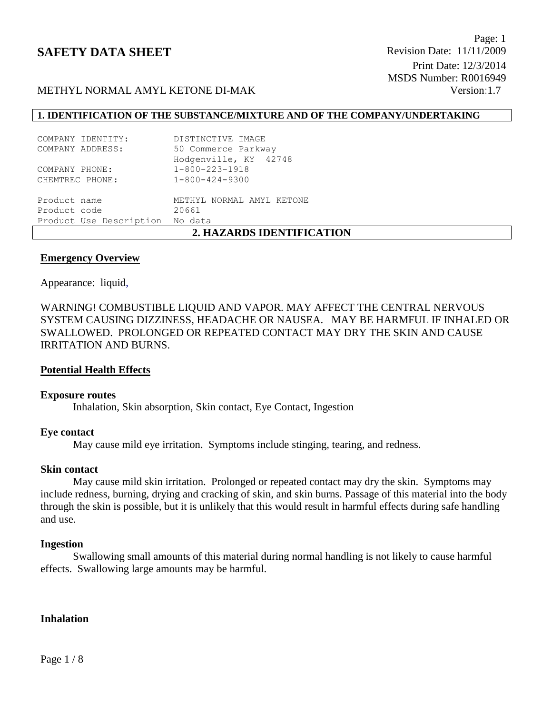# METHYL NORMAL AMYL KETONE DI-MAK Version:1.7

## **1. IDENTIFICATION OF THE SUBSTANCE/MIXTURE AND OF THE COMPANY/UNDERTAKING**

| 2. HAZARDS IDENTIFICATION       |
|---------------------------------|
| Product Use Description No data |
| 20661                           |
| METHYL NORMAL AMYL KETONE       |
| $1 - 800 - 424 - 9300$          |
| $1 - 800 - 223 - 1918$          |
| Hodgenville, KY 42748           |
| 50 Commerce Parkway             |
| DISTINCTIVE IMAGE               |
|                                 |

#### **Emergency Overview**

Appearance:liquid,

WARNING! COMBUSTIBLE LIQUID AND VAPOR. MAY AFFECT THE CENTRAL NERVOUS SYSTEM CAUSING DIZZINESS, HEADACHE OR NAUSEA. MAY BE HARMFUL IF INHALED OR SWALLOWED. PROLONGED OR REPEATED CONTACT MAY DRY THE SKIN AND CAUSE IRRITATION AND BURNS.

#### **Potential Health Effects**

#### **Exposure routes**

Inhalation, Skin absorption, Skin contact, Eye Contact, Ingestion

#### **Eye contact**

May cause mild eye irritation. Symptoms include stinging, tearing, and redness.

#### **Skin contact**

May cause mild skin irritation. Prolonged or repeated contact may dry the skin. Symptoms may include redness, burning, drying and cracking of skin, and skin burns. Passage of this material into the body through the skin is possible, but it is unlikely that this would result in harmful effects during safe handling and use.

#### **Ingestion**

Swallowing small amounts of this material during normal handling is not likely to cause harmful effects. Swallowing large amounts may be harmful.

#### **Inhalation**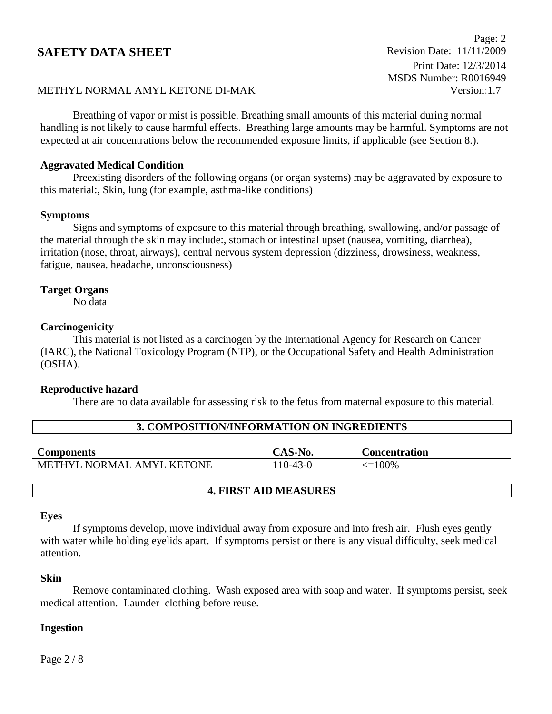Page: 2 Print Date: 12/3/2014 MSDS Number: R0016949

# METHYL NORMAL AMYL KETONE DI-MAK Version:1.7

Breathing of vapor or mist is possible. Breathing small amounts of this material during normal handling is not likely to cause harmful effects. Breathing large amounts may be harmful. Symptoms are not expected at air concentrations below the recommended exposure limits, if applicable (see Section 8.).

## **Aggravated Medical Condition**

Preexisting disorders of the following organs (or organ systems) may be aggravated by exposure to this material:, Skin, lung (for example, asthma-like conditions)

#### **Symptoms**

Signs and symptoms of exposure to this material through breathing, swallowing, and/or passage of the material through the skin may include:, stomach or intestinal upset (nausea, vomiting, diarrhea), irritation (nose, throat, airways), central nervous system depression (dizziness, drowsiness, weakness, fatigue, nausea, headache, unconsciousness)

#### **Target Organs**

No data

## **Carcinogenicity**

This material is not listed as a carcinogen by the International Agency for Research on Cancer (IARC), the National Toxicology Program (NTP), or the Occupational Safety and Health Administration (OSHA).

#### **Reproductive hazard**

There are no data available for assessing risk to the fetus from maternal exposure to this material.

| 3. COMPOSITION/INFORMATION ON INGREDIENTS |          |                      |  |  |  |
|-------------------------------------------|----------|----------------------|--|--|--|
| <b>Components</b>                         | CAS-No.  | <b>Concentration</b> |  |  |  |
|                                           |          |                      |  |  |  |
| METHYL NORMAL AMYL KETONE                 | 110-43-0 | $\leq$ 100%          |  |  |  |

#### **4. FIRST AID MEASURES**

#### **Eyes**

If symptoms develop, move individual away from exposure and into fresh air. Flush eyes gently with water while holding eyelids apart. If symptoms persist or there is any visual difficulty, seek medical attention.

#### **Skin**

Remove contaminated clothing. Wash exposed area with soap and water. If symptoms persist, seek medical attention. Launder clothing before reuse.

#### **Ingestion**

Page 2 / 8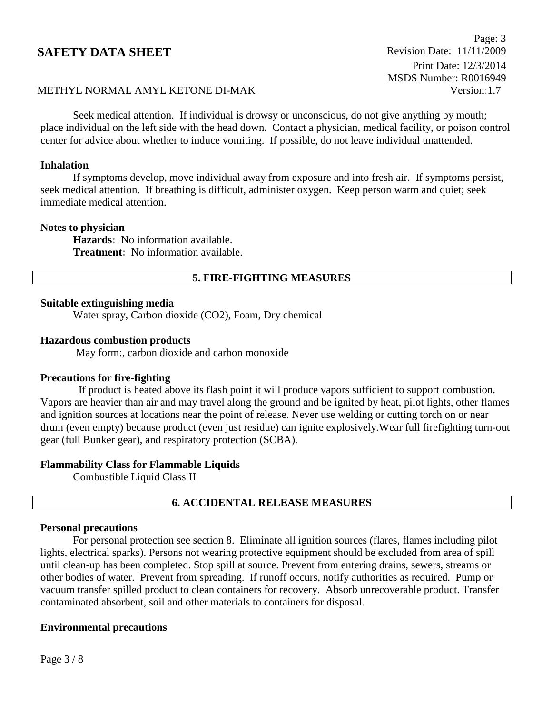Page: 3 Print Date: 12/3/2014 MSDS Number: R0016949

# METHYL NORMAL AMYL KETONE DI-MAK Version:1.7

Seek medical attention. If individual is drowsy or unconscious, do not give anything by mouth; place individual on the left side with the head down. Contact a physician, medical facility, or poison control center for advice about whether to induce vomiting. If possible, do not leave individual unattended.

## **Inhalation**

If symptoms develop, move individual away from exposure and into fresh air. If symptoms persist, seek medical attention. If breathing is difficult, administer oxygen. Keep person warm and quiet; seek immediate medical attention.

#### **Notes to physician**

**Hazards:** No information available. **Treatment:** No information available.

# **5. FIRE-FIGHTING MEASURES**

## **Suitable extinguishing media**

Water spray, Carbon dioxide (CO2), Foam, Dry chemical

#### **Hazardous combustion products**

May form:, carbon dioxide and carbon monoxide

#### **Precautions for fire-fighting**

 If product is heated above its flash point it will produce vapors sufficient to support combustion. Vapors are heavier than air and may travel along the ground and be ignited by heat, pilot lights, other flames and ignition sources at locations near the point of release. Never use welding or cutting torch on or near drum (even empty) because product (even just residue) can ignite explosively.Wear full firefighting turn-out gear (full Bunker gear), and respiratory protection (SCBA).

#### **Flammability Class for Flammable Liquids**

Combustible Liquid Class II

# **6. ACCIDENTAL RELEASE MEASURES**

#### **Personal precautions**

For personal protection see section 8.Eliminate all ignition sources (flares, flames including pilot lights, electrical sparks). Persons not wearing protective equipment should be excluded from area of spill until clean-up has been completed. Stop spill at source. Prevent from entering drains, sewers, streams or other bodies of water. Prevent from spreading. If runoff occurs, notify authorities as required. Pump or vacuum transfer spilled product to clean containers for recovery. Absorb unrecoverable product. Transfer contaminated absorbent, soil and other materials to containers for disposal.

#### **Environmental precautions**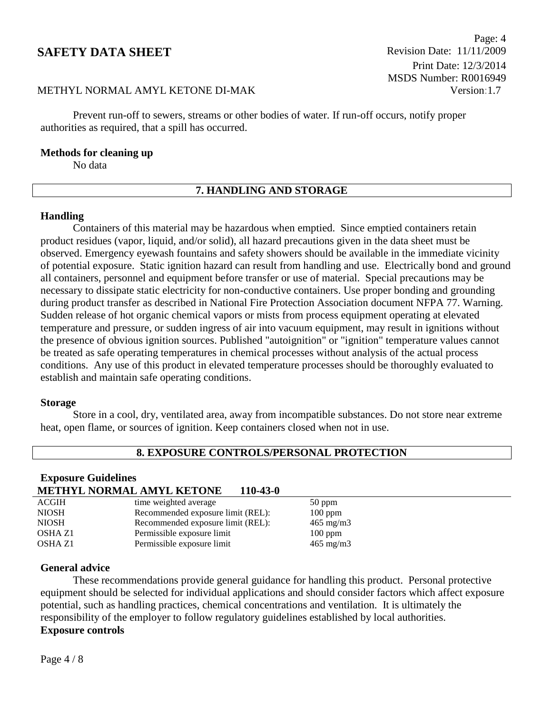Page: 4 Print Date: 12/3/2014 MSDS Number: R0016949

# METHYL NORMAL AMYL KETONE DI-MAK Version:1.7

Prevent run-off to sewers, streams or other bodies of water. If run-off occurs, notify proper authorities as required, that a spill has occurred.

#### **Methods for cleaning up**

No data

# **7. HANDLING AND STORAGE**

#### **Handling**

Containers of this material may be hazardous when emptied. Since emptied containers retain product residues (vapor, liquid, and/or solid), all hazard precautions given in the data sheet must be observed. Emergency eyewash fountains and safety showers should be available in the immediate vicinity of potential exposure. Static ignition hazard can result from handling and use. Electrically bond and ground all containers, personnel and equipment before transfer or use of material. Special precautions may be necessary to dissipate static electricity for non-conductive containers. Use proper bonding and grounding during product transfer as described in National Fire Protection Association document NFPA 77. Warning. Sudden release of hot organic chemical vapors or mists from process equipment operating at elevated temperature and pressure, or sudden ingress of air into vacuum equipment, may result in ignitions without the presence of obvious ignition sources. Published "autoignition" or "ignition" temperature values cannot be treated as safe operating temperatures in chemical processes without analysis of the actual process conditions. Any use of this product in elevated temperature processes should be thoroughly evaluated to establish and maintain safe operating conditions.

#### **Storage**

Store in a cool, dry, ventilated area, away from incompatible substances. Do not store near extreme heat, open flame, or sources of ignition. Keep containers closed when not in use.

## **8. EXPOSURE CONTROLS/PERSONAL PROTECTION**

## **Exposure Guidelines**

# **METHYL NORMAL AMYL KETONE 110-43-0**

| <b>ACGIH</b>   | time weighted average             | $50$ ppm           |
|----------------|-----------------------------------|--------------------|
| <b>NIOSH</b>   | Recommended exposure limit (REL): | $100$ ppm          |
| <b>NIOSH</b>   | Recommended exposure limit (REL): | $465 \text{ mg/m}$ |
| <b>OSHA Z1</b> | Permissible exposure limit        | $100$ ppm          |
| OSHA Z1        | Permissible exposure limit        | $465 \text{ mg/m}$ |
|                |                                   |                    |

#### **General advice**

These recommendations provide general guidance for handling this product. Personal protective equipment should be selected for individual applications and should consider factors which affect exposure potential, such as handling practices, chemical concentrations and ventilation. It is ultimately the responsibility of the employer to follow regulatory guidelines established by local authorities. **Exposure controls**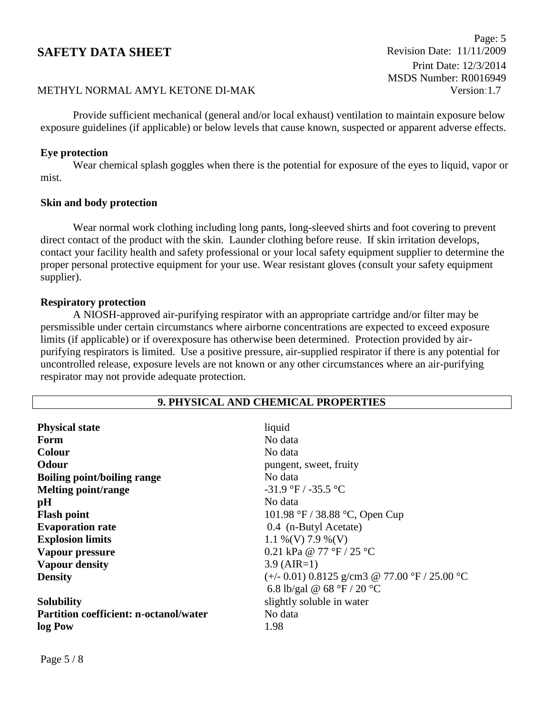Page: 5 Print Date: 12/3/2014 MSDS Number: R0016949

# METHYL NORMAL AMYL KETONE DI-MAK Version:1.7

Provide sufficient mechanical (general and/or local exhaust) ventilation to maintain exposure below exposure guidelines (if applicable) or below levels that cause known, suspected or apparent adverse effects.

#### **Eye protection**

Wear chemical splash goggles when there is the potential for exposure of the eyes to liquid, vapor or mist.

#### **Skin and body protection**

Wear normal work clothing including long pants, long-sleeved shirts and foot covering to prevent direct contact of the product with the skin. Launder clothing before reuse. If skin irritation develops, contact your facility health and safety professional or your local safety equipment supplier to determine the proper personal protective equipment for your use. Wear resistant gloves (consult your safety equipment supplier).

#### **Respiratory protection**

A NIOSH-approved air-purifying respirator with an appropriate cartridge and/or filter may be persmissible under certain circumstancs where airborne concentrations are expected to exceed exposure limits (if applicable) or if overexposure has otherwise been determined. Protection provided by airpurifying respirators is limited. Use a positive pressure, air-supplied respirator if there is any potential for uncontrolled release, exposure levels are not known or any other circumstances where an air-purifying respirator may not provide adequate protection.

| 9. PHYSICAL AND CHEMICAL PROPERTIES           |                                                 |  |  |  |
|-----------------------------------------------|-------------------------------------------------|--|--|--|
|                                               |                                                 |  |  |  |
| <b>Physical state</b>                         | liquid                                          |  |  |  |
| Form                                          | No data                                         |  |  |  |
| <b>Colour</b>                                 | No data                                         |  |  |  |
| <b>Odour</b>                                  | pungent, sweet, fruity                          |  |  |  |
| <b>Boiling point/boiling range</b>            | No data                                         |  |  |  |
| <b>Melting point/range</b>                    | $-31.9$ °F / $-35.5$ °C                         |  |  |  |
| pH                                            | No data                                         |  |  |  |
| <b>Flash point</b>                            | 101.98 °F / 38.88 °C, Open Cup                  |  |  |  |
| <b>Evaporation rate</b>                       | 0.4 (n-Butyl Acetate)                           |  |  |  |
| <b>Explosion limits</b>                       | $1.1\%$ (V) 7.9 % (V)                           |  |  |  |
| Vapour pressure                               | 0.21 kPa @ 77 °F / 25 °C                        |  |  |  |
| <b>Vapour density</b>                         | $3.9$ (AIR=1)                                   |  |  |  |
| <b>Density</b>                                | $(+/- 0.01)$ 0.8125 g/cm3 @ 77.00 °F / 25.00 °C |  |  |  |
|                                               | 6.8 lb/gal @ 68 °F / 20 °C                      |  |  |  |
| <b>Solubility</b>                             | slightly soluble in water                       |  |  |  |
| <b>Partition coefficient: n-octanol/water</b> | No data                                         |  |  |  |
| log Pow                                       | 1.98                                            |  |  |  |
|                                               |                                                 |  |  |  |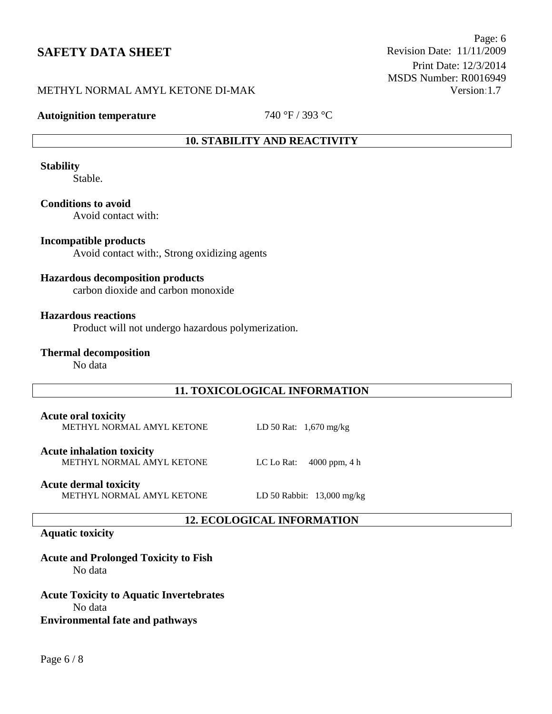Page: 6 Print Date: 12/3/2014 MSDS Number: R0016949

# METHYL NORMAL AMYL KETONE DI-MAK Version:1.7

**Autoignition temperature** 740 °F / 393 °C

# **10. STABILITY AND REACTIVITY**

**Stability**

Stable.

**Conditions to avoid**

Avoid contact with:

## **Incompatible products**

Avoid contact with:, Strong oxidizing agents

## **Hazardous decomposition products**

carbon dioxide and carbon monoxide

#### **Hazardous reactions**

Product will not undergo hazardous polymerization.

**Thermal decomposition**

No data

## **11. TOXICOLOGICAL INFORMATION**

**12. ECOLOGICAL INFORMATION**

#### **Acute oral toxicity** METHYL NORMAL AMYL KETONE LD 50 Rat: 1,670 mg/kg

**Acute inhalation toxicity** METHYL NORMAL AMYL KETONE LC Lo Rat: 4000 ppm, 4 h

**Acute dermal toxicity**

METHYL NORMAL AMYL KETONE LD 50 Rabbit: 13,000 mg/kg

#### **Aquatic toxicity**

**Acute and Prolonged Toxicity to Fish** No data

**Acute Toxicity to Aquatic Invertebrates** No data **Environmental fate and pathways**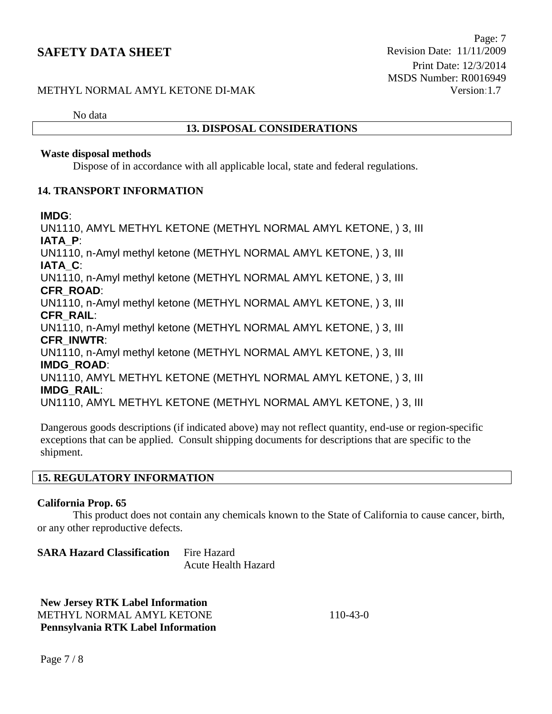# METHYL NORMAL AMYL KETONE DI-MAK Version:1.7

No data

## **13. DISPOSAL CONSIDERATIONS**

### **Waste disposal methods**

Dispose of in accordance with all applicable local, state and federal regulations.

## **14. TRANSPORT INFORMATION**

### **IMDG**:

UN1110, AMYL METHYL KETONE (METHYL NORMAL AMYL KETONE, ) 3, III **IATA\_P**:

UN1110, n-Amyl methyl ketone (METHYL NORMAL AMYL KETONE, ) 3, III **IATA\_C**:

UN1110, n-Amyl methyl ketone (METHYL NORMAL AMYL KETONE, ) 3, III **CFR\_ROAD**:

UN1110, n-Amyl methyl ketone (METHYL NORMAL AMYL KETONE, ) 3, III **CFR\_RAIL**:

UN1110, n-Amyl methyl ketone (METHYL NORMAL AMYL KETONE, ) 3, III **CFR\_INWTR**:

UN1110, n-Amyl methyl ketone (METHYL NORMAL AMYL KETONE, ) 3, III **IMDG\_ROAD**:

UN1110, AMYL METHYL KETONE (METHYL NORMAL AMYL KETONE, ) 3, III **IMDG\_RAIL**:

UN1110, AMYL METHYL KETONE (METHYL NORMAL AMYL KETONE, ) 3, III

Dangerous goods descriptions (if indicated above) may not reflect quantity, end-use or region-specific exceptions that can be applied. Consult shipping documents for descriptions that are specific to the shipment.

# **15. REGULATORY INFORMATION**

## **California Prop. 65**

This product does not contain any chemicals known to the State of California to cause cancer, birth, or any other reproductive defects.

**SARA Hazard Classification** Fire Hazard Acute Health Hazard

**New Jersey RTK Label Information** METHYL NORMAL AMYL KETONE 110-43-0 **Pennsylvania RTK Label Information**